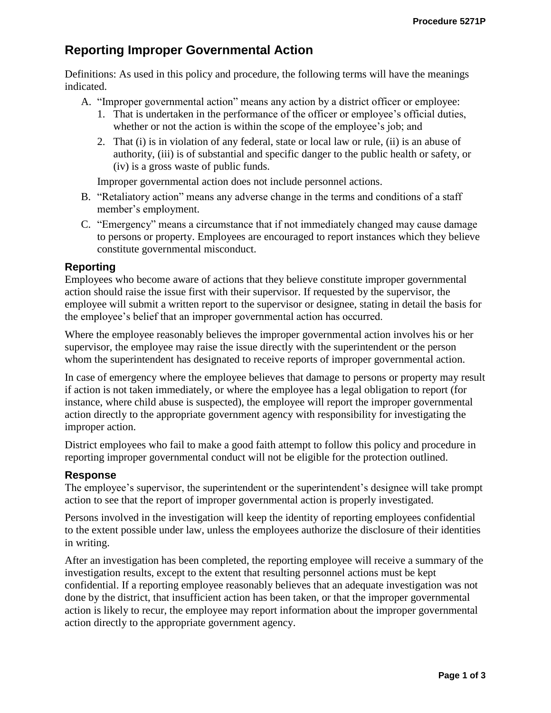# **Reporting Improper Governmental Action**

Definitions: As used in this policy and procedure, the following terms will have the meanings indicated.

A. "Improper governmental action" means any action by a district officer or employee:

- 1. That is undertaken in the performance of the officer or employee's official duties, whether or not the action is within the scope of the employee's job; and
- 2. That (i) is in violation of any federal, state or local law or rule, (ii) is an abuse of authority, (iii) is of substantial and specific danger to the public health or safety, or (iv) is a gross waste of public funds.

Improper governmental action does not include personnel actions.

- B. "Retaliatory action" means any adverse change in the terms and conditions of a staff member's employment.
- C. "Emergency" means a circumstance that if not immediately changed may cause damage to persons or property. Employees are encouraged to report instances which they believe constitute governmental misconduct.

## **Reporting**

Employees who become aware of actions that they believe constitute improper governmental action should raise the issue first with their supervisor. If requested by the supervisor, the employee will submit a written report to the supervisor or designee, stating in detail the basis for the employee's belief that an improper governmental action has occurred.

Where the employee reasonably believes the improper governmental action involves his or her supervisor, the employee may raise the issue directly with the superintendent or the person whom the superintendent has designated to receive reports of improper governmental action.

In case of emergency where the employee believes that damage to persons or property may result if action is not taken immediately, or where the employee has a legal obligation to report (for instance, where child abuse is suspected), the employee will report the improper governmental action directly to the appropriate government agency with responsibility for investigating the improper action.

District employees who fail to make a good faith attempt to follow this policy and procedure in reporting improper governmental conduct will not be eligible for the protection outlined.

#### **Response**

The employee's supervisor, the superintendent or the superintendent's designee will take prompt action to see that the report of improper governmental action is properly investigated.

Persons involved in the investigation will keep the identity of reporting employees confidential to the extent possible under law, unless the employees authorize the disclosure of their identities in writing.

After an investigation has been completed, the reporting employee will receive a summary of the investigation results, except to the extent that resulting personnel actions must be kept confidential. If a reporting employee reasonably believes that an adequate investigation was not done by the district, that insufficient action has been taken, or that the improper governmental action is likely to recur, the employee may report information about the improper governmental action directly to the appropriate government agency.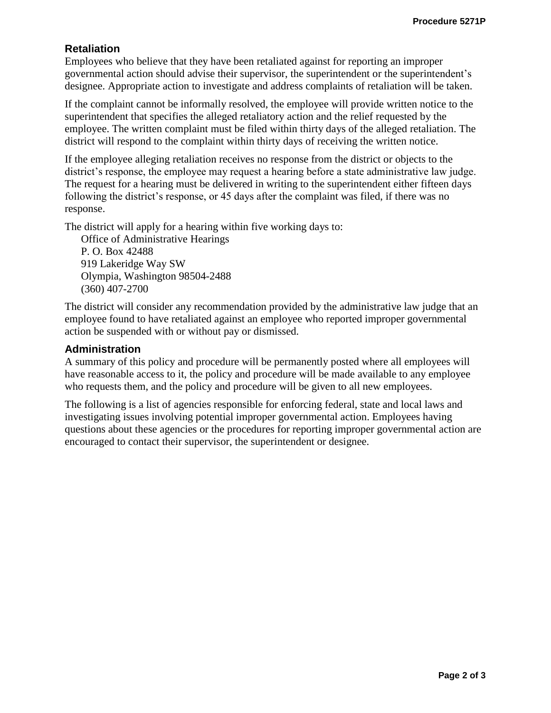# **Retaliation**

Employees who believe that they have been retaliated against for reporting an improper governmental action should advise their supervisor, the superintendent or the superintendent's designee. Appropriate action to investigate and address complaints of retaliation will be taken.

If the complaint cannot be informally resolved, the employee will provide written notice to the superintendent that specifies the alleged retaliatory action and the relief requested by the employee. The written complaint must be filed within thirty days of the alleged retaliation. The district will respond to the complaint within thirty days of receiving the written notice.

If the employee alleging retaliation receives no response from the district or objects to the district's response, the employee may request a hearing before a state administrative law judge. The request for a hearing must be delivered in writing to the superintendent either fifteen days following the district's response, or 45 days after the complaint was filed, if there was no response.

The district will apply for a hearing within five working days to:

Office of Administrative Hearings P. O. Box 42488 919 Lakeridge Way SW Olympia, Washington 98504-2488 (360) 407-2700

The district will consider any recommendation provided by the administrative law judge that an employee found to have retaliated against an employee who reported improper governmental action be suspended with or without pay or dismissed.

## **Administration**

A summary of this policy and procedure will be permanently posted where all employees will have reasonable access to it, the policy and procedure will be made available to any employee who requests them, and the policy and procedure will be given to all new employees.

The following is a list of agencies responsible for enforcing federal, state and local laws and investigating issues involving potential improper governmental action. Employees having questions about these agencies or the procedures for reporting improper governmental action are encouraged to contact their supervisor, the superintendent or designee.